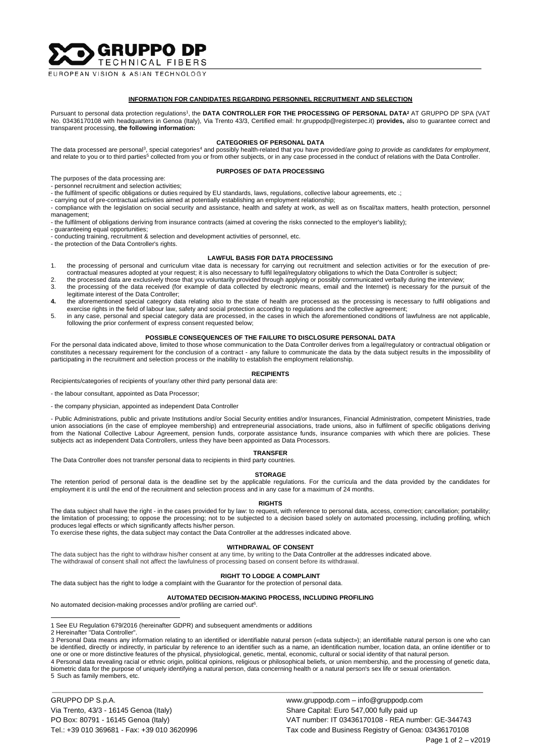**SGRUPPO DP** TECHNICAL FIBERS

**FUROPEAN VISION & ASIAN TECHNOLOGY** 

## **INFORMATION FOR CANDIDATES REGARDING PERSONNEL RECRUITMENT AND SELECTION**

Pursuant to personal data protection regulations<sup>1</sup>, the DATA CONTROLLER FOR THE PROCESSING OF PERSONAL DATA<sup>2</sup> AT GRUPPO DP SPA (VAT No. 03436170108 with headquarters in Genoa (Italy), Via Trento 43/3, Certified email: hr.gruppodp@registerpec.it) **provides,** also to guarantee correct and transparent processing, **the following information:**

#### **CATEGORIES OF PERSONAL DATA**

The data processed are personal<sup>3</sup>, special categories<sup>4</sup> and possibly health-related that you have provided/are going to provide as candidates for employment,<br>and relate to you or to third parties<sup>5</sup> collected from you or

# **PURPOSES OF DATA PROCESSING**

The purposes of the data processing are:

- personnel recruitment and selection activities;

- the fulfilment of specific obligations or duties required by EU standards, laws, regulations, collective labour agreements, etc .;

- carrying out of pre-contractual activities aimed at potentially establishing an employment relationship;

- compliance with the legislation on social security and assistance, health and safety at work, as well as on fiscal/tax matters, health protection, personnel management;

- the fulfilment of obligations deriving from insurance contracts (aimed at covering the risks connected to the employer's liability);

- guaranteeing equal opportunities;

- conducting training, recruitment & selection and development activities of personnel, etc.

- the protection of the Data Controller's rights.

# **LAWFUL BASIS FOR DATA PROCESSING**

- 1. the processing of personal and curriculum vitae data is necessary for carrying out recruitment and selection activities or for the execution of precontractual measures adopted at your request; it is also necessary to fulfil legal/regulatory obligations to which the Data Controller is subject;
- 2. the processed data are exclusively those that you voluntarily provided through applying or possibly communicated verbally during the interview; 3. the processing of the data received (for example of data collected by electronic means, email and the Internet) is necessary for the pursuit of the legitimate interest of the Data Controller;
- **4.** the aforementioned special category data relating also to the state of health are processed as the processing is necessary to fulfil obligations and exercise rights in the field of labour law, safety and social protection according to regulations and the collective agreement;
- 5. in any case, personal and special category data are processed, in the cases in which the aforementioned conditions of lawfulness are not applicable, following the prior conferment of express consent requested below;

# **POSSIBLE CONSEQUENCES OF THE FAILURE TO DISCLOSURE PERSONAL DATA**

For the personal data indicated above, limited to those whose communication to the Data Controller derives from a legal/regulatory or contractual obligation or constitutes a necessary requirement for the conclusion of a contract - any failure to communicate the data by the data subject results in the impossibility of participating in the recruitment and selection process or the inability to establish the employment relationship.

### **RECIPIENTS**

Recipients/categories of recipients of your/any other third party personal data are:

- the labour consultant, appointed as Data Processor;

- the company physician, appointed as independent Data Controller

- Public Administrations, public and private Institutions and/or Social Security entities and/or Insurances, Financial Administration, competent Ministries, trade union associations (in the case of employee membership) and entrepreneurial associations, trade unions, also in fulfilment of specific obligations deriving from the National Collective Labour Agreement, pension funds, corporate assistance funds, insurance companies with which there are policies. These subjects act as independent Data Controllers, unless they have been appointed as Data Processors.

#### **TRANSFER**

The Data Controller does not transfer personal data to recipients in third party countries.

#### **STORAGE**

The retention period of personal data is the deadline set by the applicable regulations. For the curricula and the data provided by the candidates for employment it is until the end of the recruitment and selection process and in any case for a maximum of 24 months.

### **RIGHTS**

The data subject shall have the right - in the cases provided for by law: to request, with reference to personal data, access, correction; cancellation; portability; the limitation of processing; to oppose the processing; not to be subjected to a decision based solely on automated processing, including profiling, which produces legal effects or which significantly affects his/her person.

To exercise these rights, the data subject may contact the Data Controller at the addresses indicated above.

## **WITHDRAWAL OF CONSENT**

The data subject has the right to withdraw his/her consent at any time, by writing to the Data Controller at the addresses indicated above. The withdrawal of consent shall not affect the lawfulness of processing based on consent before its withdrawal.

#### **RIGHT TO LODGE A COMPLAINT**

The data subject has the right to lodge a complaint with the Guarantor for the protection of personal data.

# **AUTOMATED DECISION-MAKING PROCESS, INCLUDING PROFILING**

No automated decision-making processes and/or profiling are carried out<sup>6</sup>.

2 Hereinafter "Data Controller".

GRUPPO DP S.p.A. www.gruppodp.com – info@gruppodp.com Via Trento, 43/3 - 16145 Genoa (Italy) Share Capital: Euro 547,000 fully paid up

<sup>1</sup> See EU Regulation 679/2016 (hereinafter GDPR) and subsequent amendments or additions

<sup>3</sup> Personal Data means any information relating to an identified or identifiable natural person («data subject»); an identifiable natural person is one who can be identified, directly or indirectly, in particular by reference to an identifier such as a name, an identification number, location data, an online identifier or to one or one or more distinctive features of the physical, physiological, genetic, mental, economic, cultural or social identity of that natural person. 4 Personal data revealing racial or ethnic origin, political opinions, religious or philosophical beliefs, or union membership, and the processing of genetic data, biometric data for the purpose of uniquely identifying a natural person, data concerning health or a natural person's sex life or sexual orientation. 5 Such as family members, etc.